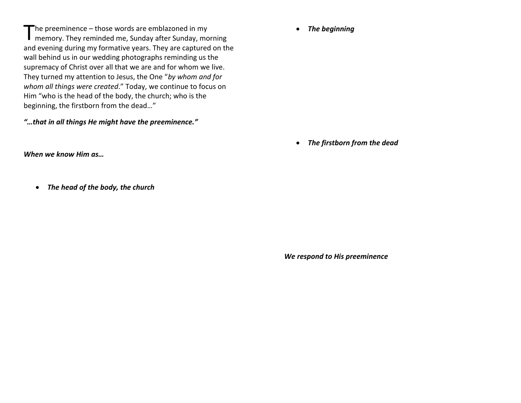The preeminence – those words are emblazoned in my<br>
memory. They reminded me, Sunday after Sunday, mc memory. They reminded me, Sunday after Sunday, morning and evening during my formative years. They are captured on the wall behind us in our wedding photographs reminding us the supremacy of Christ over all that we are and for whom we live. They turned my attention to Jesus, the One "*by whom and for whom all things were created*." Today, we continue to focus on Him "who is the head of the body, the church; who is the beginning, the firstborn from the dead…"

*"…that in all things He might have the preeminence."*

*When we know Him as…*

*The head of the body, the church*

*The beginning*

*The firstborn from the dead*

*We respond to His preeminence*